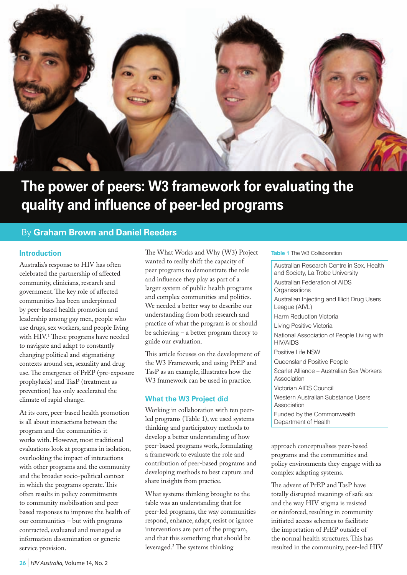

# **The power of peers: W3 framework for evaluating the quality and influence of peer-led programs**

## By **Graham Brown and Daniel Reeders**

#### **Introduction**

Australia's response to HIV has often celebrated the partnership of affected community, clinicians, research and government. The key role of affected communities has been underpinned by peer-based health promotion and leadership among gay men, people who use drugs, sex workers, and people living with HIV.<sup>1</sup> These programs have needed to navigate and adapt to constantly changing political and stigmatising contexts around sex, sexuality and drug use. The emergence of PrEP (pre-exposure prophylaxis) and TasP (treatment as prevention) has only accelerated the climate of rapid change.

At its core, peer-based health promotion is all about interactions between the program and the communities it works with. However, most traditional evaluations look at programs in isolation, overlooking the impact of interactions with other programs and the community and the broader socio-political context in which the programs operate. This often results in policy commitments to community mobilisation and peer based responses to improve the health of our communities – but with programs contracted, evaluated and managed as information dissemination or generic service provision.

The What Works and Why (W3) Project wanted to really shift the capacity of peer programs to demonstrate the role and influence they play as part of a larger system of public health programs and complex communities and politics. We needed a better way to describe our understanding from both research and practice of what the program is or should be achieving – a better program theory to guide our evaluation.

This article focuses on the development of the W3 Framework, and using PrEP and TasP as an example, illustrates how the W3 framework can be used in practice.

#### **What the W3 Project did**

Working in collaboration with ten peerled programs (Table 1), we used systems thinking and participatory methods to develop a better understanding of how peer-based programs work, formulating a framework to evaluate the role and contribution of peer-based programs and developing methods to best capture and share insights from practice.

What systems thinking brought to the table was an understanding that for peer-led programs, the way communities respond, enhance, adapt, resist or ignore interventions are part of the program, and that this something that should be leveraged.2 The systems thinking

#### **Table 1** The W3 Collaboration

Australian Research Centre in Sex, Health and Society, La Trobe University Australian Federation of AIDS **Organisations** Australian Injecting and Illicit Drug Users League (AIVL) Harm Reduction Victoria Living Positive Victoria National Association of People Living with HIV/AIDS Positive Life NSW Queensland Positive People Scarlet Alliance – Australian Sex Workers Association Victorian AIDS Council Western Australian Substance Users Association Funded by the Commonwealth Department of Health

approach conceptualises peer-based programs and the communities and policy environments they engage with as complex adapting systems.

The advent of PrEP and TasP have totally disrupted meanings of safe sex and the way HIV stigma is resisted or reinforced, resulting in community initiated access schemes to facilitate the importation of PrEP outside of the normal health structures. This has resulted in the community, peer-led HIV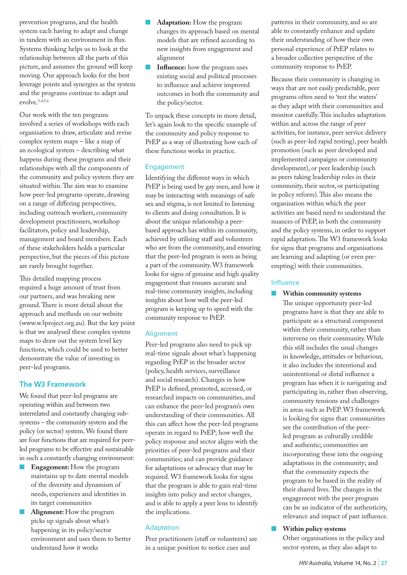prevention programs, and the health system each having to adapt and change in tandem with an environment in flux. Systems thinking helps us to look at the relationship between all the parts of this picture, and assumes the ground will keep moving. Our approach looks for the best leverage points and synergies as the system and the programs continue to adapt and evolve.3,4,5,6

Our work with the ten programs involved a series of workshops with each organisation to draw, articulate and revise complex system maps – like a map of an ecological system – describing what happens during these programs and their relationships with all the components of the community and policy system they are situated within. The aim was to examine how peer-led programs operate, drawing on a range of differing perspectives, including outreach workers, community development practitioners, workshop facilitators, policy and leadership, management and board members. Each of these stakeholders holds a particular perspective, but the pieces of this picture are rarely brought together.

This detailed mapping process required a huge amount of trust from our partners, and was breaking new ground. There is more detail about the approach and methods on our website (www.w3project.org.au). But the key point is that we analysed these complex system maps to draw out the system level key functions, which could be used to better demonstrate the value of investing in peer-led programs.

## **The W3 Framework**

We found that peer-led programs are operating within and between two interrelated and constantly changing subsystems – the community system and the policy (or sector) system. We found there are four functions that are required for peerled programs to be effective and sustainable in such a constantly changing environment:

- **Engagement:** How the program maintains up to date mental models of the diversity and dynamism of needs, experiences and identities in its target communities
- Alignment: How the program picks up signals about what's happening in its policy/sector environment and uses them to better understand how it works
- Adaptation: How the program changes its approach based on mental models that are refined according to new insights from engagement and alignment
- **Influence:** how the program uses existing social and political processes to influence and achieve improved outcomes in both the community and the policy/sector.

To unpack these concepts in more detail, let's again look to the specific example of the community and policy response to PrEP as a way of illustrating how each of these functions works in practice.

#### Engagement

Identifying the different ways in which PrEP is being used by gay men, and how it may be interacting with meanings of safe sex and stigma, is not limited to listening to clients and doing consultation. It is about the unique relationship a peerbased approach has within its community, achieved by utilising staff and volunteers who are from the community, and ensuring that the peer-led program is seen as being a part of the community. W3 framework looks for signs of genuine and high quality engagement that ensures accurate and real-time community insights, including insights about how well the peer-led program is keeping up to speed with the community response to PrEP.

## **Alignment**

Peer-led programs also need to pick up real-time signals about what's happening regarding PrEP in the broader sector (policy, health services, surveillance and social research). Changes in how PrEP is defined, promoted, accessed, or researched impacts on communities, and can enhance the peer-led program's own understanding of their communities. All this can affect how the peer-led programs operate in regard to PrEP; how well the policy response and sector aligns with the priorities of peer-led programs and their communities; and can provide guidance for adaptations or advocacy that may be required. W3 framework looks for signs that the program is able to gain real-time insights into policy and sector changes, and is able to apply a peer lens to identify the implications.

## Adaptation

Peer practitioners (staff or volunteers) are in a unique position to notice cues and

patterns in their community, and so are able to constantly enhance and update their understanding of how their own personal experience of PrEP relates to a broader collective perspective of the community response to PrEP.

Because their community is changing in ways that are not easily predictable, peer programs often need to 'test the waters' as they adapt with their communities and monitor carefully. This includes adaptation within and across the range of peer activities, for instance, peer service delivery (such as peer-led rapid testing), peer health promotion (such as peer developed and implemented campaigns or community development), or peer leadership (such as peers taking leadership roles in their community, their sector, or participating in policy reform). This also means the organisation within which the peer activities are based need to understand the nuances of PrEP, in both the community and the policy systems, in order to support rapid adaptation. The W3 framework looks for signs that programs and organisations are learning and adapting (or even preempting) with their communities.

## Influence

n **Within community systems**

The unique opportunity peer-led programs have is that they are able to participate as a structural component within their community, rather than intervene on their community. While this still includes the usual changes in knowledge, attitudes or behaviour, it also includes the intentional and unintentional or distal influence a program has when it is navigating and participating in, rather than observing, community tensions and challenges in areas such as PrEP. W3 framework is looking for signs that: communities see the contribution of the peerled program as culturally credible and authentic; communities are incorporating these into the ongoing adaptations in the community; and that the community expects the program to be based in the reality of their shared lives. The changes in the engagement with the peer program can be an indicator of the authenticity, relevance and impact of past influence.

## n **Within policy systems**

Other organisations in the policy and sector system, as they also adapt to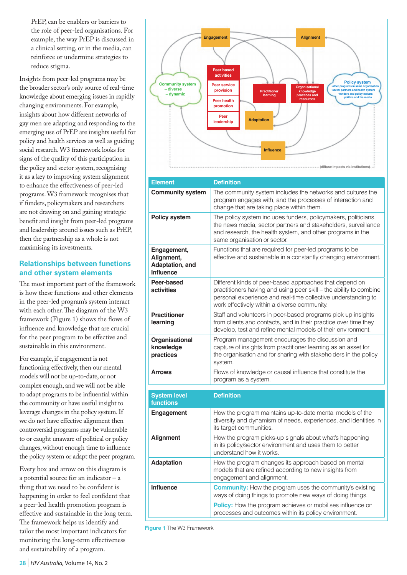PrEP, can be enablers or barriers to the role of peer-led organisations. For example, the way PrEP is discussed in a clinical setting, or in the media, can reinforce or undermine strategies to reduce stigma.

Insights from peer-led programs may be the broader sector's only source of real-time knowledge about emerging issues in rapidly changing environments. For example, insights about how different networks of gay men are adapting and responding to the emerging use of PrEP are insights useful for policy and health services as well as guiding social research. W3 framework looks for signs of the quality of this participation in the policy and sector system, recognising it as a key to improving system alignment to enhance the effectiveness of peer-led programs. W3 framework recognises that if funders, policymakers and researchers are not drawing on and gaining strategic benefit and insight from peer-led programs and leadership around issues such as PrEP, then the partnership as a whole is not maximising its investments.

## **Relationships between functions and other system elements**

The most important part of the framework is how these functions and other elements in the peer-led program's system interact with each other. The diagram of the W3 framework (Figure 1) shows the flows of influence and knowledge that are crucial for the peer program to be effective and sustainable in this environment.

For example, if engagement is not functioning effectively, then our mental models will not be up-to-date, or not complex enough, and we will not be able to adapt programs to be influential within the community or have useful insight to leverage changes in the policy system. If we do not have effective alignment then controversial programs may be vulnerable to or caught unaware of political or policy changes, without enough time to influence the policy system or adapt the peer program.

Every box and arrow on this diagram is a potential source for an indicator – a thing that we need to be confident is happening in order to feel confident that a peer-led health promotion program is effective and sustainable in the long term. The framework helps us identify and tailor the most important indicators for monitoring the long-term effectiveness and sustainability of a program.



| <b>Element</b>                                                   | <b>Definition</b>                                                                                                                                                                                                                              |
|------------------------------------------------------------------|------------------------------------------------------------------------------------------------------------------------------------------------------------------------------------------------------------------------------------------------|
| <b>Community system</b>                                          | The community system includes the networks and cultures the<br>program engages with, and the processes of interaction and<br>change that are taking place within them.                                                                         |
| <b>Policy system</b>                                             | The policy system includes funders, policymakers, politicians,<br>the news media, sector partners and stakeholders, surveillance<br>and research, the health system, and other programs in the<br>same organisation or sector.                 |
| Engagement,<br>Alignment,<br>Adaptation, and<br><b>Influence</b> | Functions that are required for peer-led programs to be<br>effective and sustainable in a constantly changing environment.                                                                                                                     |
| Peer-based<br>activities                                         | Different kinds of peer-based approaches that depend on<br>practitioners having and using peer skill - the ability to combine<br>personal experience and real-time collective understanding to<br>work effectively within a diverse community. |
| <b>Practitioner</b><br>learning                                  | Staff and volunteers in peer-based programs pick up insights<br>from clients and contacts, and in their practice over time they<br>develop, test and refine mental models of their environment.                                                |
| Organisational<br>knowledge<br>practices                         | Program management encourages the discussion and<br>capture of insights from practitioner learning as an asset for<br>the organisation and for sharing with stakeholders in the policy<br>system.                                              |
| <b>Arrows</b>                                                    | Flows of knowledge or causal influence that constitute the<br>program as a system.                                                                                                                                                             |
| <b>System level</b><br>functions                                 | <b>Definition</b>                                                                                                                                                                                                                              |
| Engagement                                                       | How the program maintains up-to-date mental models of the<br>diversity and dynamism of needs, experiences, and identities in<br>its target communities.                                                                                        |
| <b>Alignment</b>                                                 | How the program picks-up signals about what's happening<br>in its policy/sector environment and uses them to better<br>understand how it works.                                                                                                |
| <b>Adaptation</b>                                                | How the program changes its approach based on mental<br>models that are refined according to new insights from<br>engagement and alignment.                                                                                                    |
| <b>Influence</b>                                                 | <b>Community:</b> How the program uses the community's existing<br>ways of doing things to promote new ways of doing things.                                                                                                                   |
|                                                                  | <b>Policy:</b> How the program achieves or mobilises influence on<br>processes and outcomes within its policy environment.                                                                                                                     |

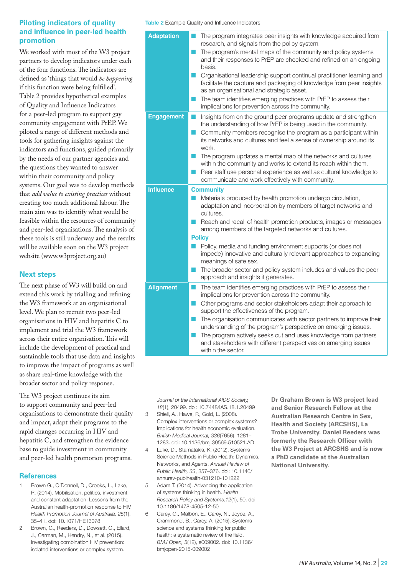#### **Piloting indicators of quality and influence in peer-led health promotion**

We worked with most of the W3 project partners to develop indicators under each of the four functions. The indicators are defined as 'things that would *be happening* if this function were being fulfilled'. Table 2 provides hypothetical examples of Quality and Influence Indicators for a peer-led program to support gay community engagement with PrEP. We piloted a range of different methods and tools for gathering insights against the indicators and functions, guided primarily by the needs of our partner agencies and the questions they wanted to answer within their community and policy systems. Our goal was to develop methods that *add value to existing practices* without creating too much additional labour. The main aim was to identify what would be feasible within the resources of community and peer-led organisations. The analysis of these tools is still underway and the results will be available soon on the W3 project website (www.w3project.org.au)

## **Next steps**

The next phase of W3 will build on and extend this work by trialling and refining the W3 framework at an organisational level. We plan to recruit two peer-led organisations in HIV and hepatitis C to implement and trial the W3 framework across their entire organisation. This will include the development of practical and sustainable tools that use data and insights to improve the impact of programs as well as share real-time knowledge with the broader sector and policy response.

The W3 project continues its aim to support community and peer-led organisations to demonstrate their quality and impact, adapt their programs to the rapid changes occurring in HIV and hepatitis C, and strengthen the evidence base to guide investment in community and peer-led health promotion programs.

## **References**

- 1 Brown G., O'Donnell, D., Crooks, L., Lake, R. (2014). Mobilisation, politics, investment and constant adaptation: Lessons from the Australian health-promotion response to HIV. *Health Promotion Journal of Australia, 25*(1), 35–41. doi: 10.1071/HE13078
- 2 Brown, G., Reeders, D., Dowsett, G., Ellard, J., Carman, M., Hendry, N., et al. (2015). Investigating combination HIV prevention: isolated interventions or complex system.

**Table 2** Example Quality and Influence Indicators

| <b>Adaptation</b> | The program integrates peer insights with knowledge acquired from<br>research, and signals from the policy system.<br>The program's mental maps of the community and policy systems<br>r i<br>and their responses to PrEP are checked and refined on an ongoing<br>basis.<br>Organisational leadership support continual practitioner learning and<br>m.<br>facilitate the capture and packaging of knowledge from peer insights<br>as an organisational and strategic asset.<br>The team identifies emerging practices with PrEP to assess their<br>implications for prevention across the community. |
|-------------------|--------------------------------------------------------------------------------------------------------------------------------------------------------------------------------------------------------------------------------------------------------------------------------------------------------------------------------------------------------------------------------------------------------------------------------------------------------------------------------------------------------------------------------------------------------------------------------------------------------|
| <b>Engagement</b> | Insights from on the ground peer programs update and strengthen<br>M.<br>the understanding of how PrEP is being used in the community.<br>Community members recognise the program as a participant within<br>its networks and cultures and feel a sense of ownership around its<br>work.<br>The program updates a mental map of the networks and cultures<br>m.<br>within the community and works to extend its reach within them.<br>Peer staff use personal experience as well as cultural knowledge to<br>communicate and work effectively with community.                                          |
| <b>Influence</b>  | <b>Community</b><br>Materials produced by health promotion undergo circulation,<br>adaptation and incorporation by members of target networks and<br>cultures.<br>Reach and recall of health promotion products, images or messages<br>among members of the targeted networks and cultures.<br><b>Policy</b><br>Policy, media and funding environment supports (or does not<br>H<br>impede) innovative and culturally relevant approaches to expanding<br>meanings of safe sex.<br>The broader sector and policy system includes and values the peer<br>approach and insights it generates.            |
| <b>Alignment</b>  | The team identifies emerging practices with PrEP to assess their<br>m.<br>implications for prevention across the community.<br>Other programs and sector stakeholders adapt their approach to<br>M.<br>support the effectiveness of the program.<br>The organisation communicates with sector partners to improve their<br>H<br>understanding of the program's perspective on emerging issues.<br>The program actively seeks out and uses knowledge from partners<br>H.<br>and stakeholders with different perspectives on emerging issues<br>within the sector.                                       |

*Journal of the International AIDS Society, 18*(1), 20499. doi: 10.7448/IAS.18.1.20499

- 3 Shiell, A., Hawe, P., Gold, L. (2008). Complex interventions or complex systems? Implications for health economic evaluation. *British Medical Journal, 336*(7656), 1281– 1283. doi: 10.1136/bmj.39569.510521.AD
- 4 Luke, D., Stamatakis, K. (2012). Systems Science Methods in Public Health: Dynamics, Networks, and Agents. *Annual Review of Public Health, 33*, 357–376. doi: 10.1146/ annurev-publhealth-031210-101222
- 5 Adam T. (2014). Advancing the application of systems thinking in health. *Health Research Policy and Systems,12*(1), 50. doi: 10.1186/1478-4505-12-50
- 6 Carey, G., Malbon, E., Carey, N., Joyce, A., Crammond, B., Carey, A. (2015). Systems science and systems thinking for public health: a systematic review of the field. *BMJ Open, 5*(12), e009002. doi: 10.1136/ bmjopen-2015-009002

**Dr Graham Brown is W3 project lead and Senior Research Fellow at the Australian Research Centre in Sex, Health and Society (ARCSHS), La Trobe University. Daniel Reeders was formerly the Research Officer with the W3 Project at ARCSHS and is now a PhD candidate at the Australian National University.**